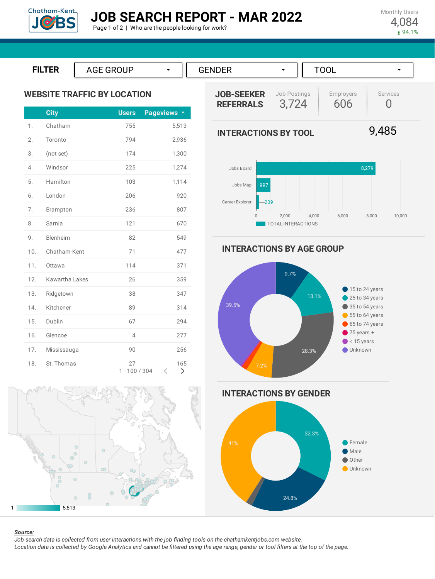

FILTER | AGE GROUP  $\rightarrow$  || GENDER  $\rightarrow$  || TOOL  $\rightarrow$ **ILTER JOB-SEEKER WEBSITE TRAFFIC BY LOCATION**

|     | <b>City</b>    | <b>Users</b>          | Pageviews <b>v</b> |
|-----|----------------|-----------------------|--------------------|
| 1.  | Chatham        | 755                   | 5,513              |
| 2.  | Toronto        | 794                   | 2,936              |
| 3.  | (not set)      | 174                   | 1,300              |
| 4.  | Windsor        | 225                   | 1,274              |
| 5.  | Hamilton       | 103                   | 1,114              |
| 6.  | London         | 206                   | 920                |
| 7.  | Brampton       | 236                   | 807                |
| 8.  | Sarnia         | 121                   | 670                |
| 9.  | Blenheim       | 82                    | 549                |
| 10. | Chatham-Kent   | 71                    | 477                |
| 11. | Ottawa         | 114                   | 371                |
| 12. | Kawartha Lakes | 26                    | 359                |
| 13. | Ridgetown      | 38                    | 347                |
| 14. | Kitchener      | 89                    | 314                |
| 15. | Dublin         | 67                    | 294                |
| 16. | Glencoe        | $\overline{4}$        | 277                |
| 17. | Mississauga    | 90                    | 256                |
| 18. | St Thomas      | 27<br>$1 - 100 / 304$ | 165<br>$\geq$<br>K |



0 2,000 4,000 6,000 8,000 10,000

**INTERACTIONS BY AGE GROUP**

209

Career Explorer

TOTAL INTERACTIONS









#### *Source:*

Job search data is collected from user interactions with the job finding tools on the chathamkentjobs.com website. Location data is collected by Google Analytics and cannot be filtered using the age range, gender or tool filters at the top of the page.